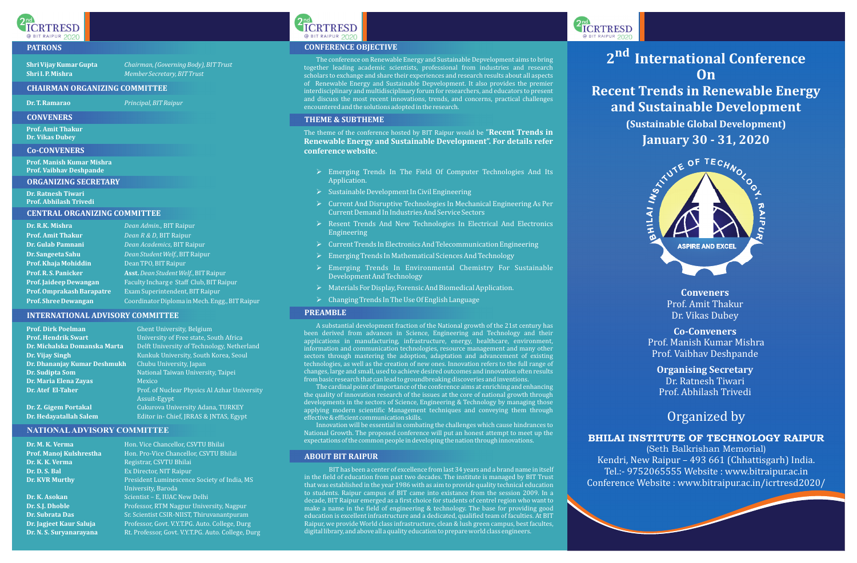**Conveners** Prof. Amit Thakur Dr. Vikas Dubey

**Co-Conveners** Prof. Manish Kumar Mishra Prof. Vaibhav Deshpande

**Organising Secretary** Dr. Ratnesh Tiwari Prof. Abhilash Trivedi

## Organized by

### BHILAI INSTITUTE OF TECHNOLOGY RAIPUR

(Seth Balkrishan Memorial) Kendri, New Raipur – 493 661 (Chhattisgarh) India. Tel.:- 9752065555 Website : www.bitraipur.ac.in Conference Website : www.bitraipur.ac.in/icrtresd2020/

A substantial development fraction of the National growth of the 21st century has been derived from advances in Science, Engineering and Technology and their applications in manufacturing, infrastructure, energy, healthcare, environment, information and communication technologies, resource management and many other sectors through mastering the adoption, adaptation and advancement of existing technologies, as well as the creation of new ones. Innovation refers to the full range of changes, large and small, used to achieve desired outcomes and innovation often results from basic research that can lead to groundbreaking discoveries and inventions.

The cardinal point of importance of the conference aims at enriching and enhancing the quality of innovation research of the issues at the core of national growth through developments in the sectors of Science, Engineering & Technology by managing those applying modern scientific Management techniques and conveying them through effective & efficient communication skills.

Innovation will be essential in combating the challenges which cause hindrances to National Growth. The proposed conference will put an honest attempt to meet up the expectations of the common people in developing the nation through innovations.

- $\triangleright$  Emerging Trends In The Field Of Computer Technologies And Its Application.
- Ø Sustainable Development In Civil Engineering
- Ø Current And Disruptive Technologies In Mechanical Engineering As Per Current Demand In Industries And Service Sectors
- Ø Resent Trends And New Technologies In Electrical And Electronics Engineering
- Ø Current Trends In Electronics And Telecommunication Engineering
- Ø Emerging Trends In Mathematical Sciences And Technology
- Ø Emerging Trends In Environmental Chemistry For Sustainable Development And Technology
- Ø Materials For Display, Forensic And Biomedical Application.
- Ø Changing Trends In The Use Of English Language

BIT has been a center of excellence from last 34 years and a brand name in itself in the field of education from past two decades. The institute is managed by BIT Trust that was established in the year 1986 with as aim to provide quality technical education to students. Raipur campus of BIT came into existance from the session 2009. In a decade, BIT Raipur emerged as a first choice for students of centrel region who want to make a name in the field of engineering & technology. The base for providing good education is excellent infrastructure and a dedicated, qualified team of faculties. At BIT Raipur, we provide World class infrastructure, clean & lush green campus, best facultes, digital library, and above all a quality education to prepare world class engineers.





2<sub>nd</sub><br>ICRTRESD



The theme of the conference hosted by BIT Raipur would be "**Recent Trends in Renewable Energy and Sustainable Development". For details refer conference website.**

# **2<sup>nd</sup> International Conference On**



The conference on Renewable Energy and Sustainable Depvelopment aims to bring together leading academic scientists, professional from industries and research scholars to exchange and share their experiences and research results about all aspects of Renewable Energy and Sustainable Depvelopment. It also provides the premier interdisciplinary and multidisciplinary forum for researchers, and educators to present and discuss the most recent innovations, trends, and concerns, practical challenges encountered and the solutions adopted in the research.

### **PREAMBLE**

### **ABOUT BIT RAIPUR**



**Shri Vijay Kumar Gupta** *Chairman,* 

**Shri I. P. Mishra** *Member Secretary, BIT Trust (Governing Body), BIT Trust*

### **CHAIRMAN ORGANIZING COMMITTEE**

**Dr. T. Ramarao** *Principal, BIT Raipur*

### **CENTRAL ORGANIZING COMMITTEE**

| Dr. R.K. Mishra             | Dean Admin., BIT Raipur                        |
|-----------------------------|------------------------------------------------|
| <b>Prof. Amit Thakur</b>    | Dean R & D, BIT Raipur                         |
| Dr. Gulab Pamnani           | Dean Academics, BIT Raipur                     |
| Dr. Sangeeta Sahu           | Dean Student Welf., BIT Raipur                 |
| Prof. Khaja Mohiddin        | Dean TPO, BIT Raipur                           |
| Prof. R. S. Panicker        | Asst. Dean Student Welf., BIT Raipur           |
| Prof. Jaideep Dewangan      | Faculty Incharge Staff Club, BIT Raipur        |
| Prof. Omprakash Barapatre   | Exam Superintendent, BIT Raipur                |
| <b>Prof. Shree Dewangan</b> | Coordinator Diploma in Mech. Engg., BIT Raipur |

### **INTERNATIONAL ADVISORY COMMITTEE**

**Prof. Dirk Poelman** Ghent University, Belgium **Dr. Dhananjay Kumar Deshmukh** Chubu University, Japan **Dr. Sudipta Som** National Taiwan University, Taipei **Dr. Maria Elena Zayas** Mexico

**Prof. Hendrik Swart University of Free state, South Africa Dr. Michalska Domanska Marta** Delft University of Technology, Netherland **Dr. Vijay Singh** Kunkuk University, South Korea, Seoul **Dr. Atef El-Taher** Prof. of Nuclear Physics Al Azhar University Assuit-Egypt **Dr. Z. Gigem Portakal Cukurova University Adana, TURKEY Dr. Hedayatallah Salem** Editor in- Chief, JRRAS & JNTAS, Egypt

### **NATIONALADVISORY COMMITTEE**

**Dr. M. K. Verma Hon. Vice Chancellor, CSVTU Bhilai Prof. Manoj Kulshrestha** Hon. Pro-Vice Chancellor, CSVTU Bhilai **Dr. K. K. Verma Registrar, CSVTU Bhilai Dr. D. S. Bal** Ex Director, NIT Raipur **Dr. KVR Murthy** President Luminescence Society of India, MS University, Baroda **Dr. K. Asokan** Scientist – E, IUAC New Delhi **Dr. S.J. Dhoble** Professor, RTM Nagpur University, Nagpur **Dr. Subrata Das** Sr. Scientist CSIR-NIIST, Thiruvanantpuram **Dr. Jagjeet Kaur Saluja** Professor, Govt. V.Y.T.PG. Auto. College, Durg **Dr. N. S. Suryanarayana** Rt. Professor, Govt. V.Y.T.PG. Auto. College, Durg **ICRTRESD** @ BIT RAIPUR 2020

### **PATRONS CONFERENCE OBJECTIVE**

### **CONVENERS**

### **Co-CONVENERS**

### **ORGANIZING SECRETARY**

**Prof. Amit Thakur Dr. Vikas Dubey**

**Prof. Manish Kumar Mishra Prof. Vaibhav Deshpande**

**Dr. Ratnesh Tiwari Prof. Abhilash Trivedi**

## **Recent Trends in Renewable Energy and Sustainable Development**

**(Sustainable Global Development)**